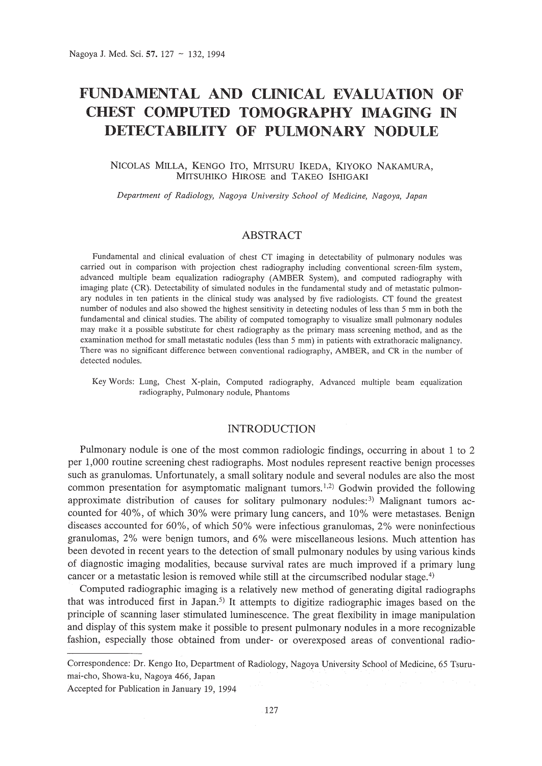# **FUNDAMENTAL AND CLINICAL EVALUATION OF CHEST COMPUTED TOMOGRAPHY IMAGING IN DETECTABILITY OF PULMONARY NODULE**

## NICOLAS MILLA, KENGO ITO, MITSURU IKEDA, KIYOKO NAKAMURA, MITSUHIKO HIROSE and TAKEO ISHIGAKI

*Department of Radiology, Nagoya University School of Medicine, Nagoya, Japan*

## ABSTRACT

Fundamental and clinical evaluation of chest CT imaging in detectability of pulmonary nodules was carried out in comparison with projection chest radiography including conventional screen-film system, advanced multiple beam equalization radiography (AMBER System), and computed radiography with imaging plate (CR). Detectability of simulated nodules in the fundamental study and of metastatic pulmonary nodules in ten patients in the clinical study was analysed by five radiologists. CT found the greatest number of nodules and also showed the highest sensitivity in detecting nodules of less than 5 mm in both the fundamental and clinical studies. The ability of computed tomography to visualize small pulmonary nodules may make it a possible substitute for chest radiography as the primary mass screening method, and as the examination method for small metastatic nodules (less than 5 mm) in patients with extrathoracic malignancy. There was no significant difference between conventional radiography, AMBER, and CR in the number of detected nodules.

Key Words: Lung, Chest X-plain, Computed radiography, Advanced multiple beam equalization radiography, Pulmonary nodule, Phantoms

# INTRODUCTION

Pulmonary nodule is one of the most common radiologic findings, occurring in about 1 to 2 per 1,000 routine screening chest radiographs. Most nodules represent reactive benign processes such as granulomas. Unfortunately, a small solitary nodule and several nodules are also the most common presentation for asymptomatic malignant tumors.<sup>1,2)</sup> Godwin provided the following approximate distribution of causes for solitary pulmonary nodules:<sup>3)</sup> Malignant tumors accounted for 40%, of which 30% were primary lung cancers, and 10% were metastases. Benign diseases accounted for 60%, of which 50% were infectious granulomas, 2% were noninfectious granulomas, 2% were benign tumors, and 6% were miscellaneous lesions. Much attention has been devoted in recent years to the detection of small pulmonary nodules by using various kinds of diagnostic imaging modalities, because survival rates are much improved if a primary lung cancer or a metastatic lesion is removed while still at the circumscribed nodular stage. 4)

Computed radiographic imaging is a relatively new method of generating digital radiographs that was introduced first in Japan.<sup>5)</sup> It attempts to digitize radiographic images based on the principle of scanning laser stimulated luminescence. The great flexibility in image manipulation and display of this system make it possible to present pulmonary nodules in a more recognizable fashion, especially those obtained from under- or overexposed areas of conventional radio-

Correspondence: Dr. Kengo Ito, Department of Radiology, Nagoya University School of Medicine, 65 Tsurumai-cho, Showa-ku, Nagoya 466, Japan

Accepted for Publication in January 19, 1994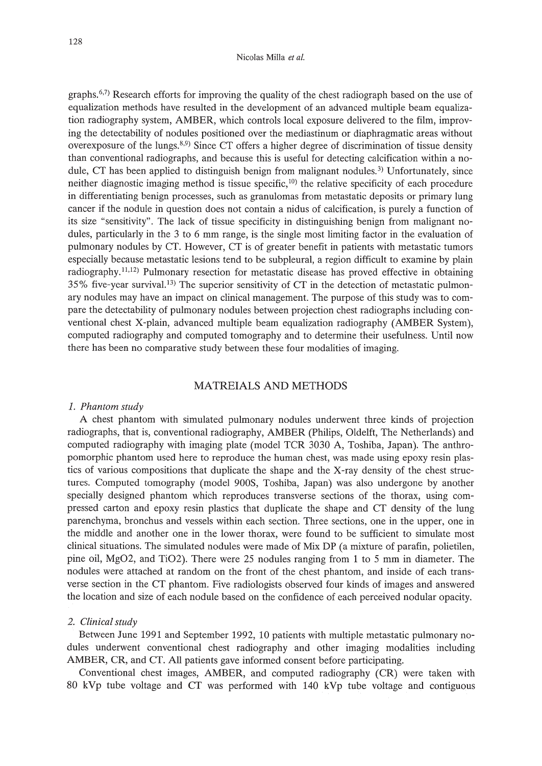#### Nicolas Milia *et at.*

graphs.<sup>6,7)</sup> Research efforts for improving the quality of the chest radiograph based on the use of equalization methods have resulted in the development of an advanced multiple beam equalization radiography system, AMBER, which controls local exposure delivered to the film, improving the detectability of nodules positioned over the mediastinum or diaphragmatic areas without overexposure of the lungs.<sup>8,9)</sup> Since CT offers a higher degree of discrimination of tissue density than conventional radiographs, and because this is useful for detecting calcification within a nodule, CT has been applied to distinguish benign from malignant nodules.<sup>3)</sup> Unfortunately, since neither diagnostic imaging method is tissue specific,<sup>10)</sup> the relative specificity of each procedure in differentiating benign processes, such as granulomas from metastatic deposits or primary lung cancer if the nodule in question does not contain a nidus of calcification, is purely a function of its size "sensitivity". The lack of tissue specificity in distinguishing benign from malignant nodules, particularly in the 3 to 6 mm range, is the single most limiting factor in the evaluation of pulmonary nodules by CT. However, CT is of greater benefit in patients with metastatic tumors especially because metastatic lesions tend to be subpleural, a region difficult to examine by plain radiography, $11,12$ ) Pulmonary resection for metastatic disease has proved effective in obtaining 35% five-year survival.<sup>13)</sup> The superior sensitivity of CT in the detection of metastatic pulmonary nodules may have an impact on clinical management. The purpose of this study was to compare the detectability of pulmonary nodules between projection chest radiographs including conventional chest X-plain, advanced multiple beam equalization radiography (AMBER System), computed radiography and computed tomography and to determine their usefulness. Until now there has been no comparative study between these four modalities of imaging.

# MATREIALS AND METHODS

## *1. Phantom study*

A chest phantom with simulated pulmonary nodules underwent three kinds of projection radiographs, that is, conventional radiography, AMBER (Philips, Oldelft, The Netherlands) and computed radiography with imaging plate (model TCR 3030 A, Toshiba, Japan). The anthropomorphic phantom used here to reproduce the human chest, was made using epoxy resin plastics of various compositions that duplicate the shape and the X-ray density of the chest structures. Computed tomography (model 900S, Toshiba, Japan) was also undergone by another specially designed phantom which reproduces transverse sections of the thorax, using compressed carton and epoxy resin plastics that duplicate the shape and CT density of the lung parenchyma, bronchus and vessels within each section. Three sections, one in the upper, one in the middle and another one in the lower thorax, were found to be sufficient to simulate most clinical situations. The simulated nodules were made of Mix DP (a mixture of parafin, polietilen, pine oil, Mg02, and Ti02). There were 25 nodules ranging from 1 to 5 mm in diameter. The nodules were attached at random on the front of the chest phantom, and inside of each transverse section in the CT phantom. Five radiologists observed four kinds of images and answered the location and size of each nodule based on the confidence of each perceived nodular opacity.

### 2. *Clinical* study

Between June 1991 and September 1992, 10 patients with multiple metastatic pulmonary nodules underwent conventional chest radiography and other imaging modalities including AMBER, CR, and CT. All patients gave informed consent before participating.

Conventional chest images, AMBER, and computed radiography (CR) were taken with 80 kVp tube voltage and CT was performed with 140 kVp tube voltage and contiguous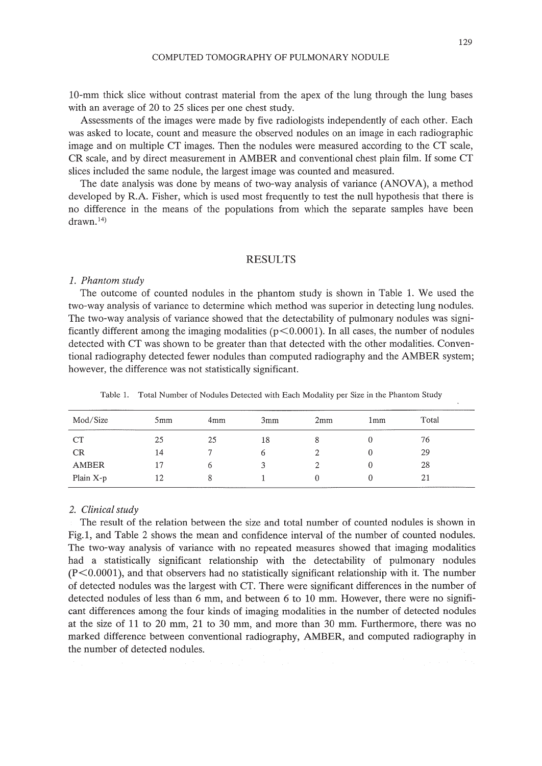lO-mm thick slice without contrast material from the apex of the lung through the lung bases with an average of 20 to 25 slices per one chest study.

Assessments of the images were made by five radiologists independently of each other. Each was asked to locate, count and measure the observed nodules on an image in each radiographic image and on multiple CT images. Then the nodules were measured according to the CT scale, CR scale, and by direct measurement in AMBER and conventional chest plain film. If some CT slices included the same nodule, the largest image was counted and measured.

The date analysis was done by means of two-way analysis of variance (ANOVA), a method developed by R.A. Fisher, which is used most frequently to test the null hypothesis that there is no difference in the means of the populations from which the separate samples have been  $drawn<sup>14</sup>)$ 

#### RESULTS

#### *1. Phantom study*

The outcome of counted nodules in the phantom study is shown in Table 1. We used the two-way analysis of variance to determine which method was superior in detecting lung nodules. The two-way analysis of variance showed that the detectability of pulmonary nodules was significantly different among the imaging modalities ( $p < 0.0001$ ). In all cases, the number of nodules detected with CT was shown to be greater than that detected with the other modalities. Conventional radiography detected fewer nodules than computed radiography and the AMBER system; however, the difference was not statistically significant.

| Mod/Size    | 5mm | 4 <sub>mm</sub> | 3mm | 2mm | 1mm | Total |
|-------------|-----|-----------------|-----|-----|-----|-------|
| CT          | 25  | 25              | 18  | x   |     | 76    |
| CR          | 14  |                 |     |     |     | 29    |
| AMBER       | 17  |                 |     |     |     | 28    |
| Plain $X-p$ | 12  | x               |     |     |     | 21    |

Table l. Total Number of Nodules Detected with Each Modality per Size in the Phantom Study

#### *2. Clinical study*

The result of the relation between the size and total number of counted nodules is shown in Fig.l, and Table 2 shows the mean and confidence interval of the number of counted nodules. The two-way analysis of variance with no repeated measures showed that imaging modalities had a statistically significant relationship with the detectability of pulmonary nodules  $(P<0.0001)$ , and that observers had no statistically significant relationship with it. The number of detected nodules was the largest with CT. There were significant differences in the number of detected nodules of less than 6 mm, and between 6 to 10 mm. However, there were no significant differences among the four kinds of imaging modalities in the number of detected nodules at the size of 11 to 20 mm, 21 to 30 mm, and more than 30 mm. Furthermore, there was no marked difference between conventional radiography, AMBER, and computed radiography in the number of detected nodules.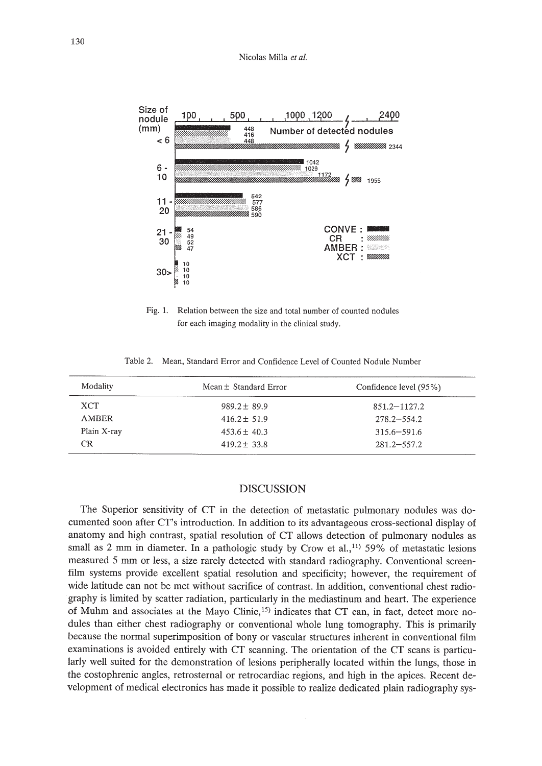

Fig. 1. Relation between the size and total number of counted nodules for each imaging modality in the clinical study.

Table 2. Mean, Standard Error and Confidence Level of Counted Nodule Number

| Mean ± Standard Error | Confidence level (95%) |  |  |
|-----------------------|------------------------|--|--|
| $989.2 + 89.9$        | $851.2 - 1127.2$       |  |  |
| $416.2 + 51.9$        | $278.2 - 554.2$        |  |  |
| $453.6 \pm 40.3$      | $315.6 - 591.6$        |  |  |
| $419.2 \pm 33.8$      | $281.2 - 557.2$        |  |  |
|                       |                        |  |  |

# DISCUSSION

The Superior sensitivity of CT in the detection of metastatic pulmonary nodules was documented soon after cr's introduction. In addition to its advantageous cross-sectional display of anatomy and high contrast, spatial resolution of CT allows detection of pulmonary nodules as small as 2 mm in diameter. In a pathologic study by Crow et al.,<sup>11</sup> 59% of metastatic lesions measured 5 mm or less, a size rarely detected with standard radiography. Conventional screenfilm systems provide excellent spatial resolution and specificity; however, the requirement of wide latitude can not be met without sacrifice of contrast. In addition, conventional chest radiography is limited by scatter radiation, particularly in the mediastinum and heart. The experience of Muhm and associates at the Mayo Clinic,<sup>15)</sup> indicates that CT can, in fact, detect more nodules than either chest radiography or conventional whole lung tomography. This is primarily because the normal superimposition of bony or vascular structures inherent in conventional film examinations is avoided entirely with CT scanning. The orientation of the CT scans is particularly well suited for the demonstration of lesions peripherally located within the lungs, those in the costophrenic angles, retrosternal or retrocardiac regions, and high in the apices. Recent development of medical electronics has made it possible to realize dedicated plain radiography sys-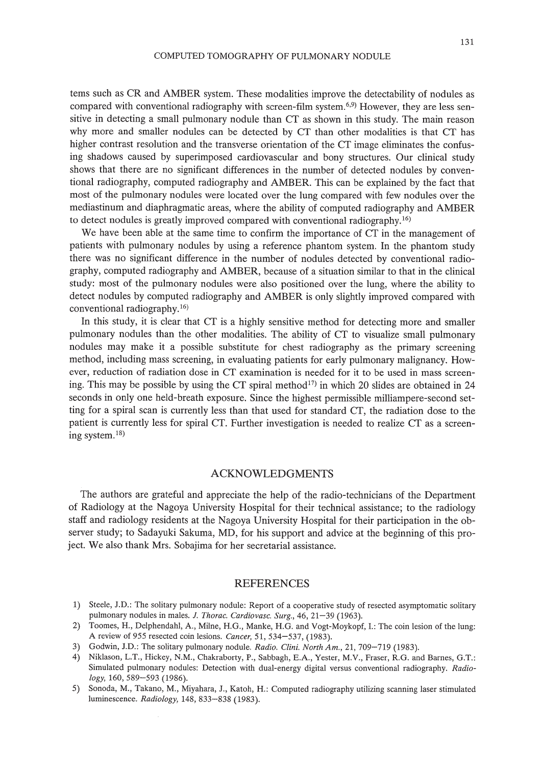tems such as CR and AMBER system. These modalities improve the detectability of nodules as compared with conventional radiography with screen-film system.<sup>6,9)</sup> However, they are less sensitive in detecting a small pulmonary nodule than CT as shown in this study. The main reason why more and smaller nodules can be detected by CT than other modalities is that CT has higher contrast resolution and the transverse orientation of the CT image eliminates the confusing shadows caused by superimposed cardiovascular and bony structures. Our clinical study shows that there are no significant differences in the number of detected nodules by conventional radiography, computed radiography and AMBER. This can be explained by the fact that most of the pulmonary nodules were located over the lung compared with few nodules over the mediastinum and diaphragmatic areas, where the ability of computed radiography and AMBER to detect nodules is greatly improved compared with conventional radiography.16)

We have been able at the same time to confirm the importance of CT in the management of patients with pulmonary nodules by using a reference phantom system. In the phantom study there was no significant difference in the number of nodules detected by conventional radiography, computed radiography and AMBER, because of a situation similar to that in the clinical study: most of the pulmonary nodules were also positioned over the lung, where the ability to detect nodules by computed radiography and AMBER is only slightly improved compared with conventional radiography. 16)

In this study, it is clear that CT is a highly sensitive method for detecting more and smaller pulmonary nodules than the other modalities. The ability of CT to visualize small pulmonary nodules may make it a possible substitute for chest radiography as the primary screening method, including mass screening, in evaluating patients for early pulmonary malignancy. However, reduction of radiation dose in CT examination is needed for it to be used in mass screening. This may be possible by using the CT spiral method<sup>17</sup> in which 20 slides are obtained in 24 seconds in only one held-breath exposure. Since the highest permissible milliampere-second setting for a spiral scan is currently less than that used for standard CT, the radiation dose to the patient is currently less for spiral CT. Further investigation is needed to realize CT as a screening system. 18)

# ACKNOWLEDGMENTS

The authors are grateful and appreciate the help of the radio-technicians of the Department of Radiology at the Nagoya University Hospital for their technical assistance; to the radiology staff and radiology residents at the Nagoya University Hospital for their participation in the observer study; to Sadayuki Sakuma, MD, for his support and advice at the beginning of this project. We also thank Mrs. Sobajima for her secretarial assistance.

### REFERENCES

- 1) Steele, J.D.: The solitary pulmonary nodule: Report of a cooperative study of resected asymptomatic solitary pulmonary nodules in males. J. *Thorac. Cardiovasc. Surg.,* 46, 21-39 (1963).
- 2) Toomes, H., Delphendahl, A., Milne, H.G., Manke, H.G. and Vogt-Moykopf, 1.: The coin lesion of the lung: A review of 955 resected coin lesions. *Cancer,* 51, 534-537, (1983).
- 3) Godwin, J.D.: The solitary pulmonary nodule. *Radio. Clini. North Am.,* 21, 709-719 (1983).
- 4) Niklason, L.T., Hickey, N.M., Chakraborty, P., Sabbagh, E.A., Yester, M.V., Fraser, R.G. and Barnes, G.T.: Simulated pulmonary nodules: Detection with dual-energy digital versus conventional radiography. *Radiology,* 160, 589-593 (1986).
- 5) Sonoda, M., Takano, M., Miyahara, J., Katoh, H.: Computed radiography utilizing scanning laser stimulated luminescence. *Radiology,* 148,833-838 (1983).